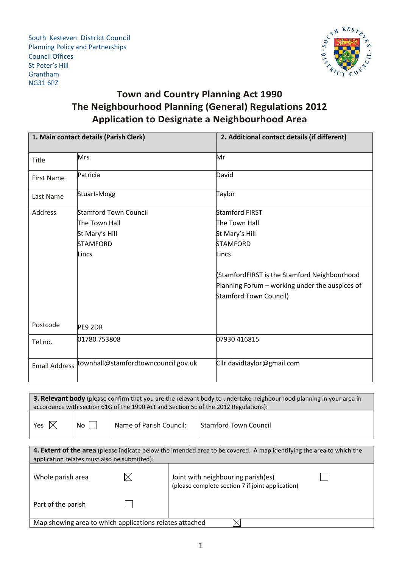South Kesteven District Council Planning Policy and Partnerships Council Offices St Peter's Hill Grantham NG31 6PZ



## **Town and Country Planning Act 1990 The Neighbourhood Planning (General) Regulations 2012 Application to Designate a Neighbourhood Area**

| 1. Main contact details (Parish Clerk) |                                     | 2. Additional contact details (if different)   |
|----------------------------------------|-------------------------------------|------------------------------------------------|
| Title                                  | Mrs                                 | Mr                                             |
| <b>First Name</b>                      | Patricia                            | David                                          |
| Last Name                              | Stuart-Mogg                         | Taylor                                         |
| Address                                | <b>Stamford Town Council</b>        | <b>Stamford FIRST</b>                          |
|                                        | The Town Hall                       | The Town Hall                                  |
|                                        | St Mary's Hill                      | St Mary's Hill                                 |
|                                        | <b>STAMFORD</b>                     | <b>STAMFORD</b>                                |
|                                        | Lincs                               | Lincs                                          |
|                                        |                                     | (StamfordFIRST is the Stamford Neighbourhood   |
|                                        |                                     | Planning Forum - working under the auspices of |
|                                        |                                     | <b>Stamford Town Council)</b>                  |
| Postcode                               | PE9 2DR                             |                                                |
| Tel no.                                | 01780 753808                        | 07930 416815                                   |
| <b>Email Address</b>                   | townhall@stamfordtowncouncil.gov.uk | Cllr.davidtaylor@gmail.com                     |

| 3. Relevant body (please confirm that you are the relevant body to undertake neighbourhood planning in your area in |      |                         |                              |  |  |
|---------------------------------------------------------------------------------------------------------------------|------|-------------------------|------------------------------|--|--|
| accordance with section 61G of the 1990 Act and Section 5c of the 2012 Regulations):                                |      |                         |                              |  |  |
| Yes $ \times $                                                                                                      | No I | Name of Parish Council: | <b>Stamford Town Council</b> |  |  |

| 4. Extent of the area (please indicate below the intended area to be covered. A map identifying the area to which the<br>application relates must also be submitted): |  |                                                                                        |  |  |
|-----------------------------------------------------------------------------------------------------------------------------------------------------------------------|--|----------------------------------------------------------------------------------------|--|--|
| Whole parish area                                                                                                                                                     |  | Joint with neighbouring parish(es)<br>(please complete section 7 if joint application) |  |  |
| Part of the parish                                                                                                                                                    |  |                                                                                        |  |  |
| Map showing area to which applications relates attached                                                                                                               |  |                                                                                        |  |  |